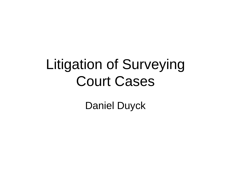## Litigation of Surveying Court Cases

Daniel Duyck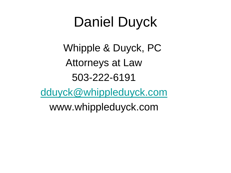## Daniel Duyck

 Whipple & Duyck, PC Attorneys at Law 503-222-6191

[dduyck@whippleduyck.com](mailto:dduyck@whippleduyck.com)

www.whippleduyck.com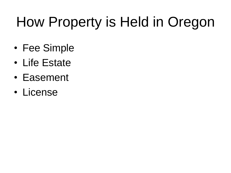## How Property is Held in Oregon

- Fee Simple
- Life Estate
- Easement
- License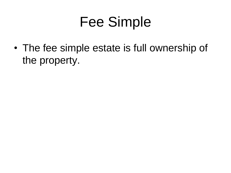## Fee Simple

• The fee simple estate is full ownership of the property.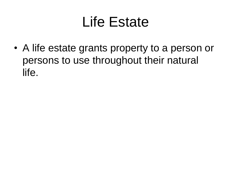### Life Estate

• A life estate grants property to a person or persons to use throughout their natural life.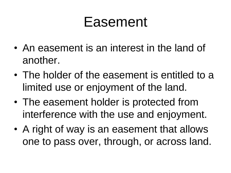#### Easement

- An easement is an interest in the land of another.
- The holder of the easement is entitled to a limited use or enjoyment of the land.
- The easement holder is protected from interference with the use and enjoyment.
- A right of way is an easement that allows one to pass over, through, or across land.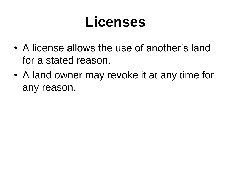## **Licenses**

- A license allows the use of another's land for a stated reason.
- A land owner may revoke it at any time for any reason.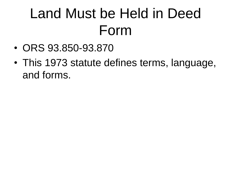## Land Must be Held in Deed Form

- ORS 93.850-93.870
- This 1973 statute defines terms, language, and forms.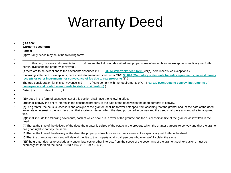## Warranty Deed

#### • **§ 93.850¹ Warranty deed form**

- **• effect**
- **(1)**Warranty deeds may be in the following form:
- Grantor, conveys and warrants to , Grantee, the following described real property free of encumbrances except as specifically set forth herein: (Describe the property conveyed.)
- (If there are to be exceptions to the covenants described in ORS**[93.850](http://www.oregonlaws.org/ors/93.850) [\(Warranty deed form\)](http://www.oregonlaws.org/ors/93.850)** (2)(c), here insert such exceptions.)
- (Following statement of exceptions, here insert statement required under ORS **[93.040](http://www.oregonlaws.org/ors/93.040) [\(Mandatory statements for sales agreements, earnest money](http://www.oregonlaws.org/ors/93.040)  [receipts or other instruments for conveyance of fee title to real property\)](http://www.oregonlaws.org/ors/93.040)** (1).)
- The true consideration for this conveyance is \$\_\_\_\_\_. (Here comply with the requirements of ORS **[93.030](http://www.oregonlaws.org/ors/93.030) [\(Contracts to convey, instruments of](http://www.oregonlaws.org/ors/93.030)  [conveyance and related memoranda to state consideration\)](http://www.oregonlaws.org/ors/93.030)**.)
- Dated this day of 3.
- $\bullet$  , and the contribution of the contribution of the contribution of the contribution of the contribution of  $\bullet$ • **(2)**A deed in the form of subsection (1) of this section shall have the following effect:

•  $\bullet$  ,  $\bullet$  ,  $\bullet$  ,  $\bullet$  ,  $\bullet$  ,  $\bullet$  ,  $\bullet$  ,  $\bullet$  ,  $\bullet$  ,  $\bullet$  ,  $\bullet$  ,  $\bullet$  ,  $\bullet$  ,  $\bullet$  ,  $\bullet$  ,  $\bullet$  ,  $\bullet$  ,  $\bullet$  ,  $\bullet$  ,  $\bullet$  ,  $\bullet$  ,  $\bullet$  ,  $\bullet$  ,  $\bullet$  ,  $\bullet$  ,  $\bullet$  ,  $\bullet$  ,  $\bullet$  ,  $\bullet$  ,  $\bullet$  ,  $\bullet$  ,  $\$ 

- **(a)**It shall convey the entire interest in the described property at the date of the deed which the deed purports to convey.
- **(b)**The grantor, the heirs, successors and assigns of the grantor, shall be forever estopped from asserting that the grantor had, at the date of the deed, an estate or interest in the land less than that estate or interest which the deed purported to convey and the deed shall pass any and all after acquired title.
- **(c)**It shall include the following covenants, each of which shall run in favor of the grantee and the successors in title of the grantee as if written in the deed:
- **(A)**That at the time of the delivery of the deed the grantor is seized of the estate in the property which the grantor purports to convey and that the grantor has good right to convey the same.
- **(B)**That at the time of the delivery of the deed the property is free from encumbrances except as specifically set forth on the deed.
- **(C)**That the grantor warrants and will defend the title to the property against all persons who may lawfully claim the same.
- **(3)**If the grantor desires to exclude any encumbrances or other interests from the scope of the covenants of the grantor, such exclusions must be expressly set forth on the deed. [1973 c.194 §1; 1999 c.214 §1]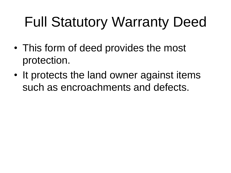## Full Statutory Warranty Deed

- This form of deed provides the most protection.
- It protects the land owner against items such as encroachments and defects.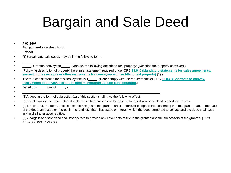## Bargain and Sale Deed

• **§ 93.860¹ Bargain and sale deed form**

• **• effect**

• **(1)**Bargain and sale deeds may be in the following form:

• \_\_\_\_\_\_\_\_\_\_\_\_\_\_\_\_\_\_\_\_\_\_\_\_\_\_\_\_\_\_\_\_\_\_\_\_\_\_\_\_\_\_\_\_\_\_\_\_\_\_\_\_\_\_\_\_\_\_\_\_\_\_\_\_\_\_\_\_\_\_\_\_\_\_\_\_\_\_

- \_\_\_\_\_, Grantor, conveys to\_\_\_\_\_, Grantee, the following described real property: (Describe the property conveyed.)
- (Following description of property, here insert statement required under ORS **[93.040](http://www.oregonlaws.org/ors/93.040) [\(Mandatory statements for sales agreements,](http://www.oregonlaws.org/ors/93.040)  [earnest money receipts or other instruments for conveyance of fee title to real property\)](http://www.oregonlaws.org/ors/93.040)** (1).)
- The true consideration for this conveyance is \$\_\_\_\_\_. (Here comply with the requirements of ORS **[93.030](http://www.oregonlaws.org/ors/93.030) [\(Contracts to convey,](http://www.oregonlaws.org/ors/93.030)  [instruments of conveyance and related memoranda to state consideration\)](http://www.oregonlaws.org/ors/93.030)**.)
- Dated this day of , 2.
- **(2)**A deed in the form of subsection (1) of this section shall have the following effect:

• \_\_\_\_\_\_\_\_\_\_\_\_\_\_\_\_\_\_\_\_\_\_\_\_\_\_\_\_\_\_\_\_\_\_\_\_\_\_\_\_\_\_\_\_\_\_\_\_\_\_\_\_\_\_\_\_\_\_\_\_\_\_\_\_\_\_\_\_\_\_\_\_\_\_\_\_\_\_

- **(a)**It shall convey the entire interest in the described property at the date of the deed which the deed purports to convey.
- **(b)**The grantor, the heirs, successors and assigns of the grantor, shall be forever estopped from asserting that the grantor had, at the date of the deed, an estate or interest in the land less than that estate or interest which the deed purported to convey and the deed shall pass any and all after acquired title.
- **(3)**A bargain and sale deed shall not operate to provide any covenants of title in the grantee and the successors of the grantee. [1973 c.194 §3; 1999 c.214 §3]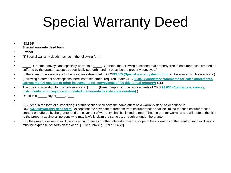## Special Warranty Deed

#### • **93.855¹ Special warranty deed form**

- **• effect**
- **(1)**Special warranty deeds may be in the following form:
- \_\_\_\_\_\_\_\_\_\_\_\_\_\_\_\_\_\_\_\_\_\_\_\_\_\_\_\_\_\_\_\_\_\_\_\_\_\_\_\_\_\_\_\_\_\_\_\_\_\_\_\_\_\_\_\_\_\_\_\_\_\_\_\_\_\_\_\_\_\_\_\_\_\_\_\_\_\_
- \_\_\_\_\_, Grantor, conveys and specially warrants to\_\_\_\_, Grantee, the following described real property free of encumbrances created or suffered by the grantor except as specifically set forth herein: (Describe the property conveyed.)
- (If there are to be exceptions to the covenants described in ORS**[93.855](http://www.oregonlaws.org/ors/93.855) [\(Special warranty deed form\)](http://www.oregonlaws.org/ors/93.855)** (2), here insert such exceptions.)
- (Following statement of exceptions, here insert statement required under ORS **[93.040](http://www.oregonlaws.org/ors/93.040) [\(Mandatory statements for sales agreements,](http://www.oregonlaws.org/ors/93.040)  [earnest money receipts or other instruments for conveyance of fee title to real property\)](http://www.oregonlaws.org/ors/93.040)** (1).)
- The true consideration for this conveyance is \$\_\_\_\_\_. (Here comply with the requirements of ORS **[93.030](http://www.oregonlaws.org/ors/93.030) [\(Contracts to convey,](http://www.oregonlaws.org/ors/93.030)  [instruments of conveyance and related memoranda to state consideration\)](http://www.oregonlaws.org/ors/93.030)**.)
- Dated this day of .2.
- $\bullet$  ,  $\bullet$  ,  $\bullet$  ,  $\bullet$  ,  $\bullet$  ,  $\bullet$  ,  $\bullet$  ,  $\bullet$  ,  $\bullet$  ,  $\bullet$  ,  $\bullet$  ,  $\bullet$  ,  $\bullet$  ,  $\bullet$  ,  $\bullet$  ,  $\bullet$  ,  $\bullet$  ,  $\bullet$  ,  $\bullet$  ,  $\bullet$  ,  $\bullet$  ,  $\bullet$  ,  $\bullet$  ,  $\bullet$  ,  $\bullet$  ,  $\bullet$  ,  $\bullet$  ,  $\bullet$  ,  $\bullet$  ,  $\bullet$  ,  $\bullet$  ,  $\$
- **(2)**A deed in the form of subsection (1) of this section shall have the same effect as a warranty deed as described in ORS **[93.850\(Warranty deed form\)](http://www.oregonlaws.org/ors/93.850)**, except that the covenant of freedom from encumbrances shall be limited to those encumbrances created or suffered by the grantor and the covenant of warranty shall be limited to read: That the grantor warrants and will defend the title to the property against all persons who may lawfully claim the same by, through or under the grantor.
- **(3)**If the grantor desires to exclude any encumbrances or other interests from the scope of the covenants of the grantor, such exclusions must be expressly set forth on the deed. [1973 c.194 §2; 1999 c.214 §2]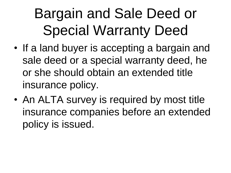# Bargain and Sale Deed or Special Warranty Deed

- If a land buyer is accepting a bargain and sale deed or a special warranty deed, he or she should obtain an extended title insurance policy.
- An ALTA survey is required by most title insurance companies before an extended policy is issued.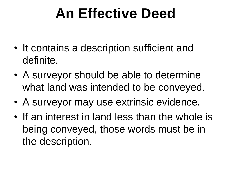## **An Effective Deed**

- It contains a description sufficient and definite.
- A surveyor should be able to determine what land was intended to be conveyed.
- A surveyor may use extrinsic evidence.
- If an interest in land less than the whole is being conveyed, those words must be in the description.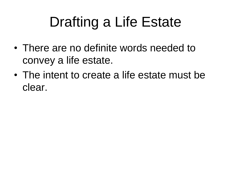# Drafting a Life Estate

- There are no definite words needed to convey a life estate.
- The intent to create a life estate must be clear.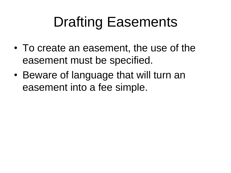## Drafting Easements

- To create an easement, the use of the easement must be specified.
- Beware of language that will turn an easement into a fee simple.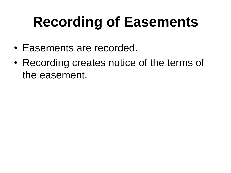## **Recording of Easements**

- Easements are recorded.
- Recording creates notice of the terms of the easement.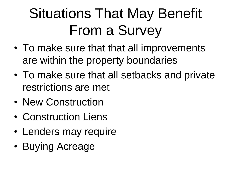# Situations That May Benefit From a Survey

- To make sure that that all improvements are within the property boundaries
- To make sure that all setbacks and private restrictions are met
- New Construction
- Construction Liens
- Lenders may require
- Buying Acreage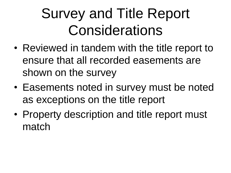## Survey and Title Report **Considerations**

- Reviewed in tandem with the title report to ensure that all recorded easements are shown on the survey
- Easements noted in survey must be noted as exceptions on the title report
- Property description and title report must match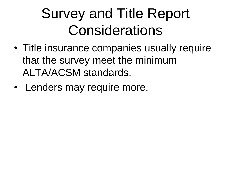## Survey and Title Report **Considerations**

- Title insurance companies usually require that the survey meet the minimum ALTA/ACSM standards.
- Lenders may require more.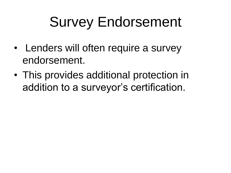# Survey Endorsement

- Lenders will often require a survey endorsement.
- This provides additional protection in addition to a surveyor's certification.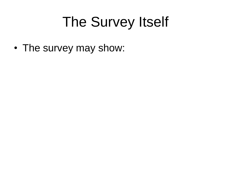## The Survey Itself

• The survey may show: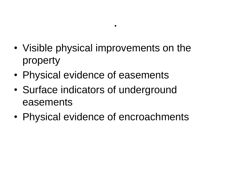• Visible physical improvements on the property

.

- Physical evidence of easements
- Surface indicators of underground easements
- Physical evidence of encroachments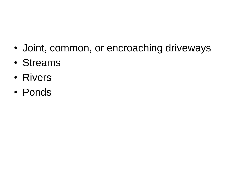- Joint, common, or encroaching driveways
- Streams
- Rivers
- Ponds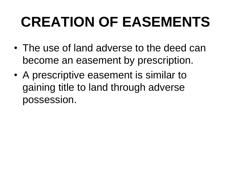# **CREATION OF EASEMENTS**

- The use of land adverse to the deed can become an easement by prescription.
- A prescriptive easement is similar to gaining title to land through adverse possession.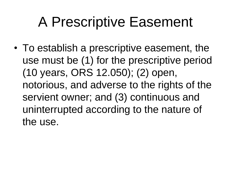## A Prescriptive Easement

• To establish a prescriptive easement, the use must be (1) for the prescriptive period (10 years, ORS 12.050); (2) open, notorious, and adverse to the rights of the servient owner; and (3) continuous and uninterrupted according to the nature of the use.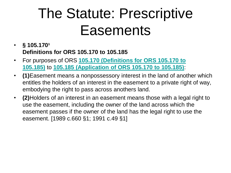## The Statute: Prescriptive Easements

- $\cdot$  § 105.170<sup>1</sup> **Definitions for ORS 105.170 to 105.185**
- For purposes of ORS **[105.170](http://www.oregonlaws.org/ors/105.170) [\(Definitions for ORS 105.170 to](http://www.oregonlaws.org/ors/105.170)  [105.185\)](http://www.oregonlaws.org/ors/105.170)** to **[105.185](http://www.oregonlaws.org/ors/105.185) [\(Application of ORS 105.170 to 105.185\)](http://www.oregonlaws.org/ors/105.185)**:
- **(1)**Easement means a nonpossessory interest in the land of another which entitles the holders of an interest in the easement to a private right of way, embodying the right to pass across anothers land.
- **(2)**Holders of an interest in an easement means those with a legal right to use the easement, including the owner of the land across which the easement passes if the owner of the land has the legal right to use the easement. [1989 c.660 §1; 1991 c.49 §1]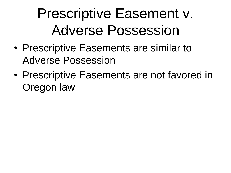## Prescriptive Easement v. Adverse Possession

- Prescriptive Easements are similar to Adverse Possession
- Prescriptive Easements are not favored in Oregon law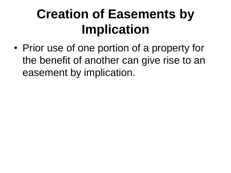#### **Creation of Easements by Implication**

• Prior use of one portion of a property for the benefit of another can give rise to an easement by implication.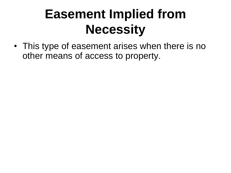#### **Easement Implied from Necessity**

• This type of easement arises when there is no other means of access to property.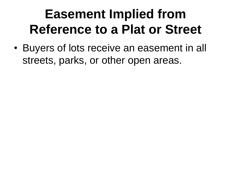#### **Easement Implied from Reference to a Plat or Street**

• Buyers of lots receive an easement in all streets, parks, or other open areas.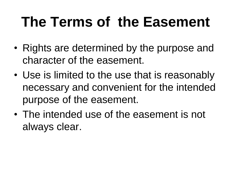## **The Terms of the Easement**

- Rights are determined by the purpose and character of the easement.
- Use is limited to the use that is reasonably necessary and convenient for the intended purpose of the easement.
- The intended use of the easement is not always clear.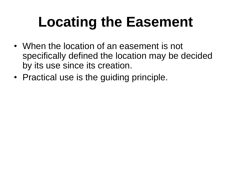# **Locating the Easement**

- When the location of an easement is not specifically defined the location may be decided by its use since its creation.
- Practical use is the guiding principle.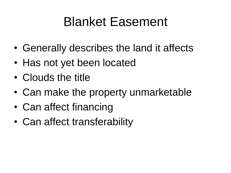#### Blanket Easement

- Generally describes the land it affects
- Has not yet been located
- Clouds the title
- Can make the property unmarketable
- Can affect financing
- Can affect transferability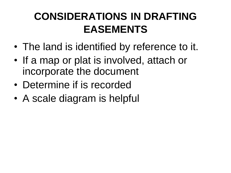#### **CONSIDERATIONS IN DRAFTING EASEMENTS**

- The land is identified by reference to it.
- If a map or plat is involved, attach or incorporate the document
- Determine if is recorded
- A scale diagram is helpful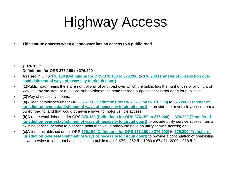## Highway Access

• **This statute governs when a landowner has no access to a public road.**

- $\cdot$  **§** 376.150<sup>1</sup> **Definitions for ORS 376.150 to 376.200**
- As used in ORS **[376.150](http://www.oregonlaws.org/ors/376.150) [\(Definitions for ORS 376.150 to 376.200\)](http://www.oregonlaws.org/ors/376.150)**to **[376.200](http://www.oregonlaws.org/ors/376.200) [\(Transfer of jurisdiction over](http://www.oregonlaws.org/ors/376.200)  [establishment of ways of necessity to circuit court\)](http://www.oregonlaws.org/ors/376.200)**:
- **(1)**Public road means the entire right of way of any road over which the public has the right of use or any right of way held by the state or a political subdivision of the state for road purposes that is not open for public use.
- **(2)**Way of necessity means:
- **(a)**A road established under ORS **[376.150](http://www.oregonlaws.org/ors/376.150) [\(Definitions for ORS 376.150 to 376.200\)](http://www.oregonlaws.org/ors/376.150)** to **[376.200](http://www.oregonlaws.org/ors/376.200) [\(Transfer of](http://www.oregonlaws.org/ors/376.200)  [jurisdiction over establishment of ways of necessity to circuit court\)](http://www.oregonlaws.org/ors/376.200)** to provide motor vehicle access from a public road to land that would otherwise have no motor vehicle access;
- **(b)**A route established under ORS **[376.150](http://www.oregonlaws.org/ors/376.150) [\(Definitions for ORS 376.150 to 376.200\)](http://www.oregonlaws.org/ors/376.150)** to **[376.200](http://www.oregonlaws.org/ors/376.200) [\(Transfer of](http://www.oregonlaws.org/ors/376.200)  [jurisdiction over establishment of ways of necessity to circuit court\)](http://www.oregonlaws.org/ors/376.200)** to provide utility service access from an existing service location to a service point that would otherwise have no utility service access; **or**
- **(c)**A route established under ORS **[376.150](http://www.oregonlaws.org/ors/376.150) [\(Definitions for ORS 376.150 to 376.200\)](http://www.oregonlaws.org/ors/376.150)** to **[376.200](http://www.oregonlaws.org/ors/376.200) [\(Transfer of](http://www.oregonlaws.org/ors/376.200)  [jurisdiction over establishment of ways of necessity to circuit court\)](http://www.oregonlaws.org/ors/376.200)** to provide a continuation of preexisting sewer service to land that has access to a public road. [1979 c.862 §1; 1989 c.674 §1; 2009 c.318 §1]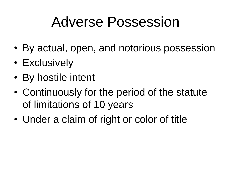### Adverse Possession

- By actual, open, and notorious possession
- Exclusively
- By hostile intent
- Continuously for the period of the statute of limitations of 10 years
- Under a claim of right or color of title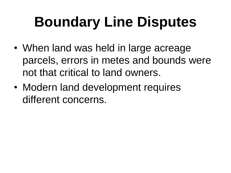# **Boundary Line Disputes**

- When land was held in large acreage parcels, errors in metes and bounds were not that critical to land owners.
- Modern land development requires different concerns.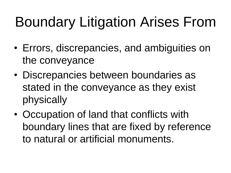# Boundary Litigation Arises From

- Errors, discrepancies, and ambiguities on the conveyance
- Discrepancies between boundaries as stated in the conveyance as they exist physically
- Occupation of land that conflicts with boundary lines that are fixed by reference to natural or artificial monuments.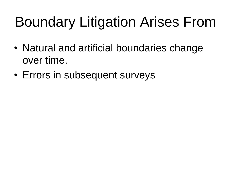# Boundary Litigation Arises From

- Natural and artificial boundaries change over time.
- Errors in subsequent surveys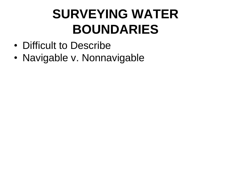## **SURVEYING WATER BOUNDARIES**

- Difficult to Describe
- Navigable v. Nonnavigable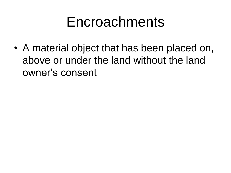#### Encroachments

• A material object that has been placed on, above or under the land without the land owner's consent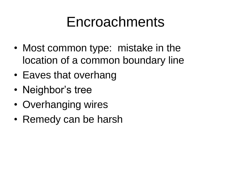#### Encroachments

- Most common type: mistake in the location of a common boundary line
- Eaves that overhang
- Neighbor's tree
- Overhanging wires
- Remedy can be harsh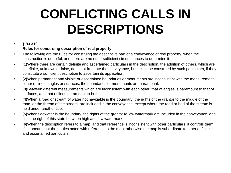### **CONFLICTING CALLS IN DESCRIPTIONS**

#### $\cdot$  **§** 93.310<sup>1</sup> **Rules for construing description of real property**

- The following are the rules for construing the descriptive part of a conveyance of real property, when the construction is doubtful, and there are no other sufficient circumstances to determine it:
- **(1)**Where there are certain definite and ascertained particulars in the description, the addition of others, which are indefinite, unknown or false, does not frustrate the conveyance, but it is to be construed by such particulars, if they constitute a sufficient description to ascertain its application.
- **(2)**When permanent and visible or ascertained boundaries or monuments are inconsistent with the measurement, either of lines, angles or surfaces, the boundaries or monuments are paramount.
- **(3)**Between different measurements which are inconsistent with each other, that of angles is paramount to that of surfaces, and that of lines paramount to both.
- **(4)**When a road or stream of water not navigable is the boundary, the rights of the grantor to the middle of the road, or the thread of the stream, are included in the conveyance, except where the road or bed of the stream is held under another title.
- **(5)**When tidewater is the boundary, the rights of the grantor to low watermark are included in the conveyance, and also the right of this state between high and low watermark.
- **(6)**When the description refers to a map, and that reference is inconsistent with other particulars, it controls them, if it appears that the parties acted with reference to the map; otherwise the map is subordinate to other definite and ascertained particulars.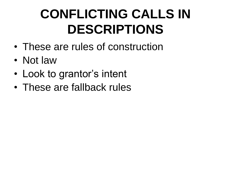## **CONFLICTING CALLS IN DESCRIPTIONS**

- These are rules of construction
- Not law
- Look to grantor's intent
- These are fallback rules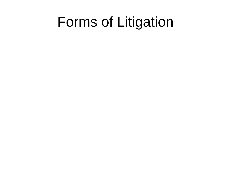### Forms of Litigation

- 
- -
	-
- 
-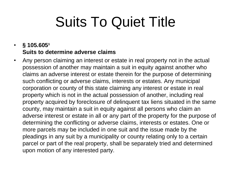## Suits To Quiet Title

#### $\cdot$  § 105.605<sup>1</sup> **Suits to determine adverse claims**

• Any person claiming an interest or estate in real property not in the actual possession of another may maintain a suit in equity against another who claims an adverse interest or estate therein for the purpose of determining such conflicting or adverse claims, interests or estates. Any municipal corporation or county of this state claiming any interest or estate in real property which is not in the actual possession of another, including real property acquired by foreclosure of delinquent tax liens situated in the same county, may maintain a suit in equity against all persons who claim an adverse interest or estate in all or any part of the property for the purpose of determining the conflicting or adverse claims, interests or estates. One or more parcels may be included in one suit and the issue made by the pleadings in any suit by a municipality or county relating only to a certain parcel or part of the real property, shall be separately tried and determined upon motion of any interested party.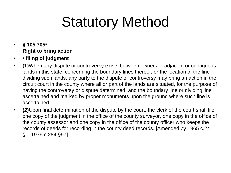## Statutory Method

- $\cdot$  **§** 105.705<sup>1</sup> **Right to bring action**
- **• filing of judgment**
- **(1)**When any dispute or controversy exists between owners of adjacent or contiguous lands in this state, concerning the boundary lines thereof, or the location of the line dividing such lands, any party to the dispute or controversy may bring an action in the circuit court in the county where all or part of the lands are situated, for the purpose of having the controversy or dispute determined, and the boundary line or dividing line ascertained and marked by proper monuments upon the ground where such line is ascertained.
- **(2)**Upon final determination of the dispute by the court, the clerk of the court shall file one copy of the judgment in the office of the county surveyor, one copy in the office of the county assessor and one copy in the office of the county officer who keeps the records of deeds for recording in the county deed records. [Amended by 1965 c.24 §1; 1979 c.284 §97]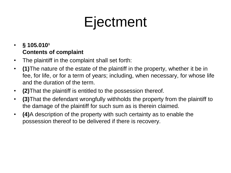## Ejectment

#### $\cdot$  § 105.010<sup>1</sup> **Contents of complaint**

- The plaintiff in the complaint shall set forth:
- **(1)**The nature of the estate of the plaintiff in the property, whether it be in fee, for life, or for a term of years; including, when necessary, for whose life and the duration of the term.
- **(2)**That the plaintiff is entitled to the possession thereof.
- **(3)**That the defendant wrongfully withholds the property from the plaintiff to the damage of the plaintiff for such sum as is therein claimed.
- **(4)**A description of the property with such certainty as to enable the possession thereof to be delivered if there is recovery.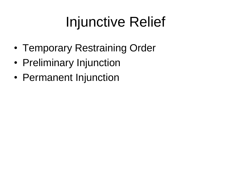## Injunctive Relief

- Temporary Restraining Order
- Preliminary Injunction
- Permanent Injunction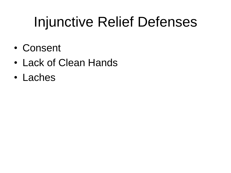## Injunctive Relief Defenses

- Consent
- Lack of Clean Hands
- Laches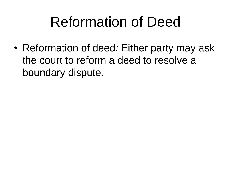## Reformation of Deed

• Reformation of deed*:* Either party may ask the court to reform a deed to resolve a boundary dispute.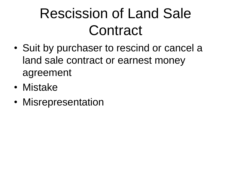## Rescission of Land Sale **Contract**

- Suit by purchaser to rescind or cancel a land sale contract or earnest money agreement
- Mistake
- Misrepresentation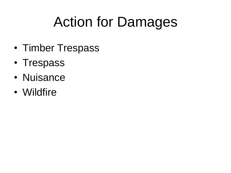## Action for Damages

- Timber Trespass
- Trespass
- Nuisance
- Wildfire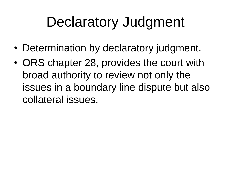## Declaratory Judgment

- Determination by declaratory judgment.
- ORS chapter 28, provides the court with broad authority to review not only the issues in a boundary line dispute but also collateral issues.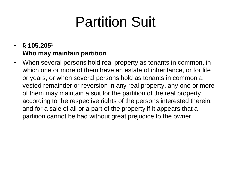## Partition Suit

#### $\cdot$  § 105.205<sup>1</sup> **Who may maintain partition**

• When several persons hold real property as tenants in common, in which one or more of them have an estate of inheritance, or for life or years, or when several persons hold as tenants in common a vested remainder or reversion in any real property, any one or more of them may maintain a suit for the partition of the real property according to the respective rights of the persons interested therein, and for a sale of all or a part of the property if it appears that a partition cannot be had without great prejudice to the owner.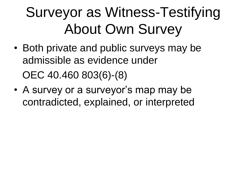## Surveyor as Witness-Testifying About Own Survey

- Both private and public surveys may be admissible as evidence under OEC 40.460 803(6)-(8)
- A survey or a surveyor's map may be contradicted, explained, or interpreted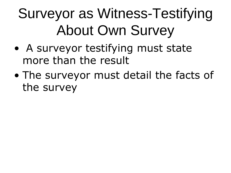## Surveyor as Witness-Testifying About Own Survey

- A surveyor testifying must state more than the result
- The surveyor must detail the facts of the survey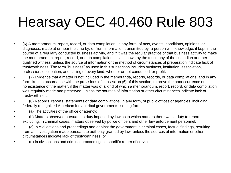## Hearsay OEC 40.460 Rule 803

- (6) A memorandum, report, record, or data compilation, in any form, of acts, events, conditions, opinions, or diagnoses, made at or near the time by, or from information transmitted by, a person with knowledge, if kept in the course of a regularly conducted business activity, and if it was the regular practice of that business activity to make the memorandum, report, record, or data compilation, all as shown by the testimony of the custodian or other qualified witness, unless the source of information or the method of circumstances of preparation indicate lack of trustworthiness. The term "business" as used in this subsection includes business, institution, association, profession, occupation, and calling of every kind, whether or not conducted for profit.
- (7) Evidence that a matter is not included in the memoranda, reports, records, or data compilations, and in any form, kept in accordance with the provisions of subsection (6) of this section, to prove the nonoccurrence or nonexistence of the matter, if the matter was of a kind of which a memorandum, report, record, or data compilation was regularly made and preserved, unless the sources of information or other circumstances indicate lack of trustworthiness.
- (8) Records, reports, statements or data compilations, in any form, of public offices or agencies, including federally recognized American Indian tribal governments, setting forth:
- (a) The activities of the office or agency;
- (b) Matters observed pursuant to duty imposed by law as to which matters there was a duty to report, excluding, in criminal cases, matters observed by police officers and other law enforcement personnel;
- (c) In civil actions and proceedings and against the government in criminal cases, factual findings, resulting from an investigation made pursuant to authority granted by law, unless the sources of information or other circumstances indicate lack of trustworthiness; or
	- (d) In civil actions and criminal proceedings, a sheriff's return of service.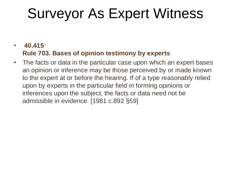## Surveyor As Expert Witness

#### $\cdot$  40.415<sup>1</sup> **Rule 703. Bases of opinion testimony by experts**

• The facts or data in the particular case upon which an expert bases an opinion or inference may be those perceived by or made known to the expert at or before the hearing. If of a type reasonably relied upon by experts in the particular field in forming opinions or inferences upon the subject, the facts or data need not be admissible in evidence. [1981 c.892 §59]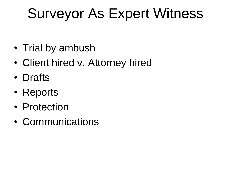## Surveyor As Expert Witness

- Trial by ambush
- Client hired v. Attorney hired
- Drafts
- Reports
- Protection
- Communications